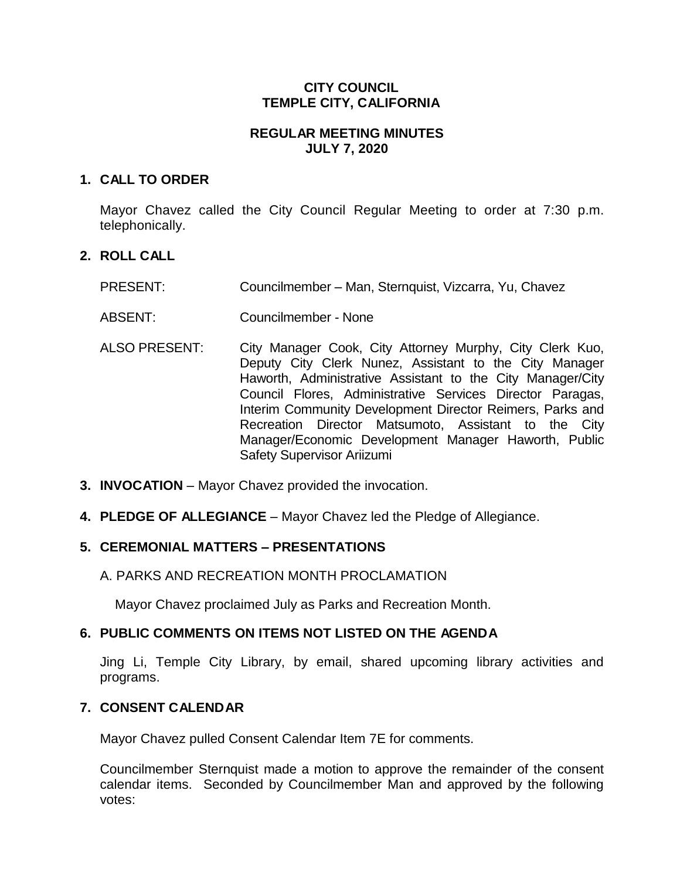# **CITY COUNCIL TEMPLE CITY, CALIFORNIA**

# **REGULAR MEETING MINUTES JULY 7, 2020**

## **1. CALL TO ORDER**

Mayor Chavez called the City Council Regular Meeting to order at 7:30 p.m. telephonically.

# **2. ROLL CALL**

- PRESENT: Councilmember Man, Sternquist, Vizcarra, Yu, Chavez
- ABSENT: Councilmember None
- ALSO PRESENT: City Manager Cook, City Attorney Murphy, City Clerk Kuo, Deputy City Clerk Nunez, Assistant to the City Manager Haworth, Administrative Assistant to the City Manager/City Council Flores, Administrative Services Director Paragas, Interim Community Development Director Reimers, Parks and Recreation Director Matsumoto, Assistant to the City Manager/Economic Development Manager Haworth, Public Safety Supervisor Ariizumi
- **3. INVOCATION** Mayor Chavez provided the invocation.
- **4. PLEDGE OF ALLEGIANCE**  Mayor Chavez led the Pledge of Allegiance.

# **5. CEREMONIAL MATTERS – PRESENTATIONS**

## A. PARKS AND RECREATION MONTH PROCLAMATION

Mayor Chavez proclaimed July as Parks and Recreation Month.

# **6. PUBLIC COMMENTS ON ITEMS NOT LISTED ON THE AGENDA**

Jing Li, Temple City Library, by email, shared upcoming library activities and programs.

# **7. CONSENT CALENDAR**

Mayor Chavez pulled Consent Calendar Item 7E for comments.

Councilmember Sternquist made a motion to approve the remainder of the consent calendar items. Seconded by Councilmember Man and approved by the following votes: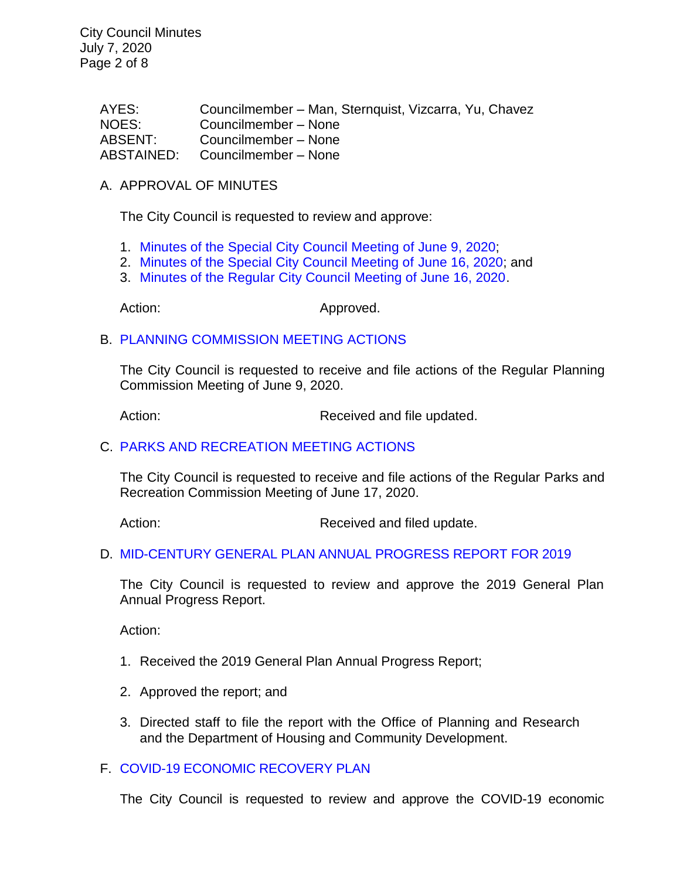City Council Minutes July 7, 2020 Page 2 of 8

> AYES: Councilmember – Man, Sternquist, Vizcarra, Yu, Chavez NOES: Councilmember – None ABSENT: Councilmember – None ABSTAINED: Councilmember – None

### A. APPROVAL OF MINUTES

The City Council is requested to review and approve:

- 1. Minutes of the Special [City Council Meeting of June 9, 2020;](https://ca-templecity.civicplus.com/DocumentCenter/View/14692/03-7A1---CCM---2020-06-09_Budget-Study-Session)
- 2. [Minutes of the Special City Council Meeting of June 16, 2020;](https://ca-templecity.civicplus.com/DocumentCenter/View/14693/04-7A2---CCM---2020-06-16_Special-Meeting-Anticipated-Litigation) and
- 3. [Minutes of the Regular City Council Meeting of June 16, 2020.](https://ca-templecity.civicplus.com/DocumentCenter/View/14694/05-7A3---CCM---2020-06-16)

Action: Approved.

### B. [PLANNING COMMISSION MEETING ACTIONS](https://ca-templecity.civicplus.com/DocumentCenter/View/14690/7B---PC-Actions---from-2020-6-9)

The City Council is requested to receive and file actions of the Regular Planning Commission Meeting of June 9, 2020.

Action: Received and file updated.

### C. [PARKS AND RECREATION MEETING ACTIONS](https://ca-templecity.civicplus.com/DocumentCenter/View/14691/7C---PRC-Regular-Meeting-Actions-2020-06-17)

The City Council is requested to receive and file actions of the Regular Parks and Recreation Commission Meeting of June 17, 2020.

Action: Received and filed update.

### D. [MID-CENTURY GENERAL PLAN ANNUAL PROGRESS REPORT FOR 2019](https://ca-templecity.civicplus.com/DocumentCenter/View/14714/08-7D---Mid-Century-General-Plan-Annual-Progress-Report)

The City Council is requested to review and approve the 2019 General Plan Annual Progress Report.

Action:

- 1. Received the 2019 General Plan Annual Progress Report;
- 2. Approved the report; and
- 3. Directed staff to file the report with the Office of Planning and Research and the Department of Housing and Community Development.

### F. [COVID-19 ECONOMIC RECOVERY PLAN](https://ca-templecity.civicplus.com/DocumentCenter/View/14698/13-9A---Economic-Recovery-Plan_Staff-Report-w_-attachments_final)

The City Council is requested to review and approve the COVID-19 economic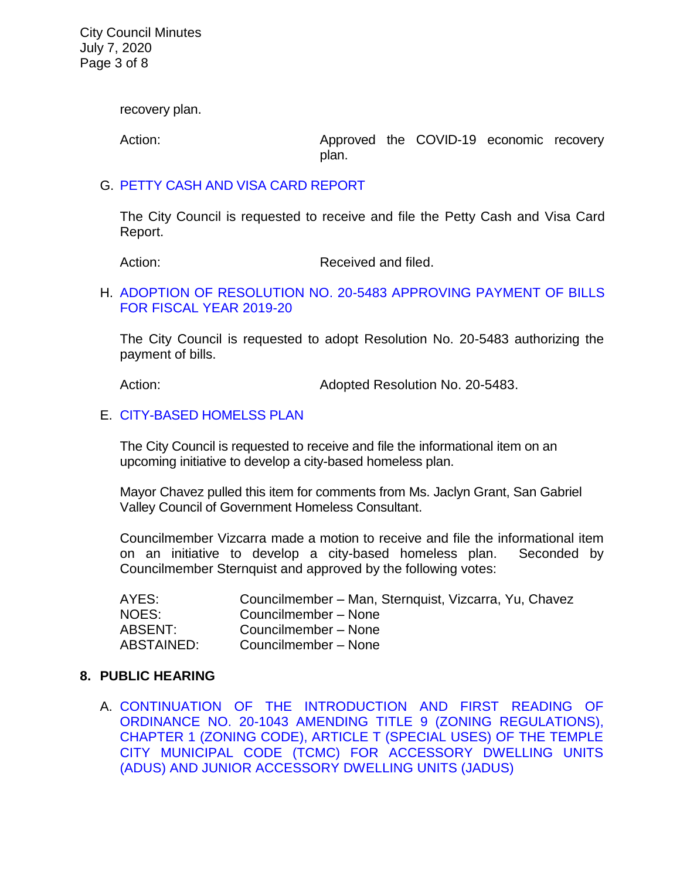City Council Minutes July 7, 2020 Page 3 of 8

recovery plan.

Action: Approved the COVID-19 economic recovery plan.

### G. [PETTY CASH AND VISA CARD REPORT](https://ca-templecity.civicplus.com/DocumentCenter/View/14724/7G-Petty-Cash--Visa-Card-Report-7-7-20)

The City Council is requested to receive and file the Petty Cash and Visa Card Report.

Action: Received and filed.

### H. [ADOPTION OF RESOLUTION NO. 20-5483](https://ca-templecity.civicplus.com/DocumentCenter/View/14706/11-7G---Warrant_Reso-No-20-5483_FY-2019-20-w-attachment) APPROVING PAYMENT OF BILLS [FOR FISCAL YEAR 2019-20](https://ca-templecity.civicplus.com/DocumentCenter/View/14706/11-7G---Warrant_Reso-No-20-5483_FY-2019-20-w-attachment)

The City Council is requested to adopt Resolution No. 20-5483 authorizing the payment of bills.

Action: Adopted Resolution No. 20-5483.

#### E. [CITY-BASED HOMELSS PLAN](https://ca-templecity.civicplus.com/DocumentCenter/View/14695/09-7E---Homeless-Plan_Staff-Report_finaldraft_w-attachments-A-B)

The City Council is requested to receive and file the informational item on an upcoming initiative to develop a city-based homeless plan.

Mayor Chavez pulled this item for comments from Ms. Jaclyn Grant, San Gabriel Valley Council of Government Homeless Consultant.

Councilmember Vizcarra made a motion to receive and file the informational item on an initiative to develop a city-based homeless plan. Seconded by Councilmember Sternquist and approved by the following votes:

| AYES:      | Councilmember – Man, Sternquist, Vizcarra, Yu, Chavez |
|------------|-------------------------------------------------------|
| NOES:      | Councilmember - None                                  |
| ABSENT:    | Councilmember - None                                  |
| ABSTAINED: | Councilmember - None                                  |

### **8. PUBLIC HEARING**

A. [CONTINUATION OF THE INTRODUCTION AND FIRST READING OF](https://ca-templecity.civicplus.com/DocumentCenter/View/14705/12-8A---Staff-Report----ZTA-ADUsJADUs-Ordinance_Continue-)  [ORDINANCE NO. 20-1043 AMENDING TITLE 9 \(ZONING REGULATIONS\),](https://ca-templecity.civicplus.com/DocumentCenter/View/14705/12-8A---Staff-Report----ZTA-ADUsJADUs-Ordinance_Continue-)  [CHAPTER 1 \(ZONING CODE\), ARTICLE T \(SPECIAL USES\) OF THE TEMPLE](https://ca-templecity.civicplus.com/DocumentCenter/View/14705/12-8A---Staff-Report----ZTA-ADUsJADUs-Ordinance_Continue-)  [CITY MUNICIPAL CODE \(TCMC\) FOR ACCESSORY DWELLING UNITS](https://ca-templecity.civicplus.com/DocumentCenter/View/14705/12-8A---Staff-Report----ZTA-ADUsJADUs-Ordinance_Continue-)  [\(ADUS\) AND JUNIOR ACCESSORY DWELLING UNITS \(JADUS\)](https://ca-templecity.civicplus.com/DocumentCenter/View/14705/12-8A---Staff-Report----ZTA-ADUsJADUs-Ordinance_Continue-)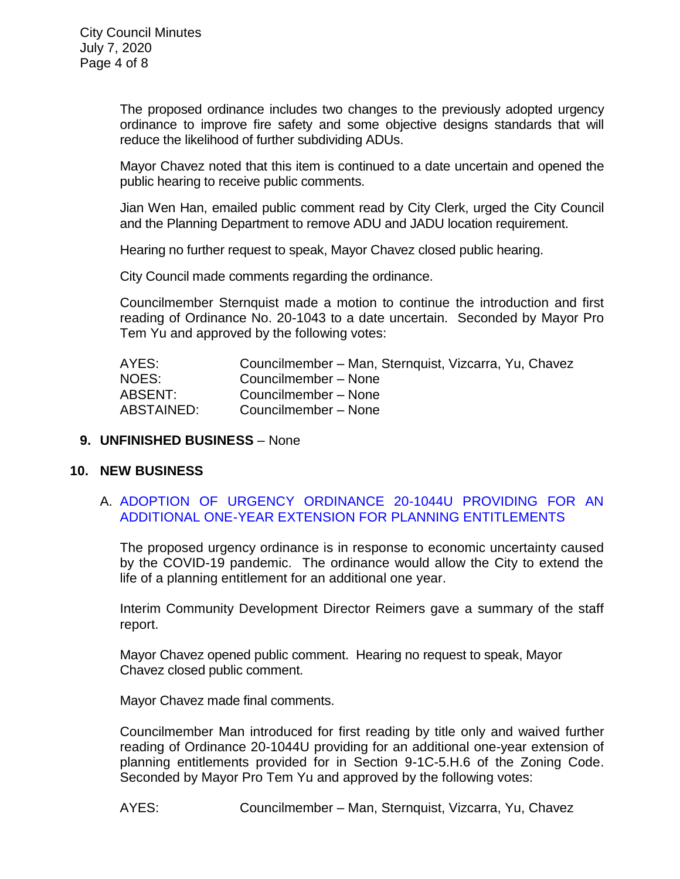The proposed ordinance includes two changes to the previously adopted urgency ordinance to improve fire safety and some objective designs standards that will reduce the likelihood of further subdividing ADUs.

Mayor Chavez noted that this item is continued to a date uncertain and opened the public hearing to receive public comments.

Jian Wen Han, emailed public comment read by City Clerk, urged the City Council and the Planning Department to remove ADU and JADU location requirement.

Hearing no further request to speak, Mayor Chavez closed public hearing.

City Council made comments regarding the ordinance.

Councilmember Sternquist made a motion to continue the introduction and first reading of Ordinance No. 20-1043 to a date uncertain. Seconded by Mayor Pro Tem Yu and approved by the following votes:

| AYES:      | Councilmember – Man, Sternquist, Vizcarra, Yu, Chavez |
|------------|-------------------------------------------------------|
| NOES:      | Councilmember - None                                  |
| ABSENT:    | Councilmember - None                                  |
| ABSTAINED: | Councilmember - None                                  |

## **9. UNFINISHED BUSINESS** – None

## **10. NEW BUSINESS**

# A. [ADOPTION OF URGENCY ORDINANCE 20-1044U PROVIDING FOR AN](https://ca-templecity.civicplus.com/DocumentCenter/View/14696/14-10A---Planning-Entitlement---Urgency-Ordinance---Staff-Report_Fianl-w-attachment-A)  [ADDITIONAL ONE-YEAR EXTENSION FOR PLANNING ENTITLEMENTS](https://ca-templecity.civicplus.com/DocumentCenter/View/14696/14-10A---Planning-Entitlement---Urgency-Ordinance---Staff-Report_Fianl-w-attachment-A)

The proposed urgency ordinance is in response to economic uncertainty caused by the COVID-19 pandemic. The ordinance would allow the City to extend the life of a planning entitlement for an additional one year.

Interim Community Development Director Reimers gave a summary of the staff report.

Mayor Chavez opened public comment. Hearing no request to speak, Mayor Chavez closed public comment.

Mayor Chavez made final comments.

Councilmember Man introduced for first reading by title only and waived further reading of Ordinance 20-1044U providing for an additional one-year extension of planning entitlements provided for in Section 9-1C-5.H.6 of the Zoning Code. Seconded by Mayor Pro Tem Yu and approved by the following votes:

AYES: Councilmember – Man, Sternquist, Vizcarra, Yu, Chavez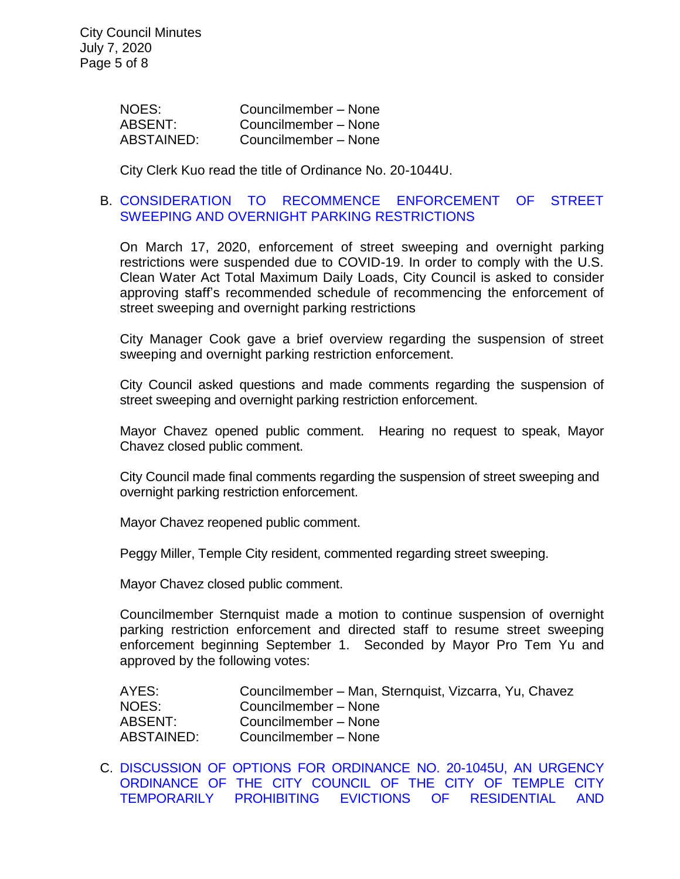| NOES:      | Councilmember - None |
|------------|----------------------|
| ABSENT:    | Councilmember - None |
| ABSTAINED: | Councilmember - None |

City Clerk Kuo read the title of Ordinance No. 20-1044U.

### B. [CONSIDERATION TO RECOMMENCE ENFORCEMENT OF STREET](https://ca-templecity.civicplus.com/DocumentCenter/View/14697/15-10B---Recommence-Enforcement-of-Street-Sweeping-and-Overnight-Parking-Restrictions_Staff-Report)  [SWEEPING AND OVERNIGHT PARKING RESTRICTIONS](https://ca-templecity.civicplus.com/DocumentCenter/View/14697/15-10B---Recommence-Enforcement-of-Street-Sweeping-and-Overnight-Parking-Restrictions_Staff-Report)

On March 17, 2020, enforcement of street sweeping and overnight parking restrictions were suspended due to COVID-19. In order to comply with the U.S. Clean Water Act Total Maximum Daily Loads, City Council is asked to consider approving staff's recommended schedule of recommencing the enforcement of street sweeping and overnight parking restrictions

City Manager Cook gave a brief overview regarding the suspension of street sweeping and overnight parking restriction enforcement.

City Council asked questions and made comments regarding the suspension of street sweeping and overnight parking restriction enforcement.

Mayor Chavez opened public comment. Hearing no request to speak, Mayor Chavez closed public comment.

City Council made final comments regarding the suspension of street sweeping and overnight parking restriction enforcement.

Mayor Chavez reopened public comment.

Peggy Miller, Temple City resident, commented regarding street sweeping.

Mayor Chavez closed public comment.

Councilmember Sternquist made a motion to continue suspension of overnight parking restriction enforcement and directed staff to resume street sweeping enforcement beginning September 1. Seconded by Mayor Pro Tem Yu and approved by the following votes:

| AYES:      | Councilmember - Man, Sternquist, Vizcarra, Yu, Chavez |
|------------|-------------------------------------------------------|
| NOES:      | Councilmember - None                                  |
| ABSENT:    | Councilmember - None                                  |
| ABSTAINED: | Councilmember - None                                  |

C. [DISCUSSION OF OPTIONS FOR ORDINANCE NO. 20-1045U, AN URGENCY](https://ca-templecity.civicplus.com/DocumentCenter/View/14723/10C-Eviction-Moratorium-July-staff-report)  [ORDINANCE OF THE CITY COUNCIL OF THE CITY OF TEMPLE CITY](https://ca-templecity.civicplus.com/DocumentCenter/View/14723/10C-Eviction-Moratorium-July-staff-report)  [TEMPORARILY PROHIBITING EVICTIONS OF RESIDENTIAL AND](https://ca-templecity.civicplus.com/DocumentCenter/View/14723/10C-Eviction-Moratorium-July-staff-report)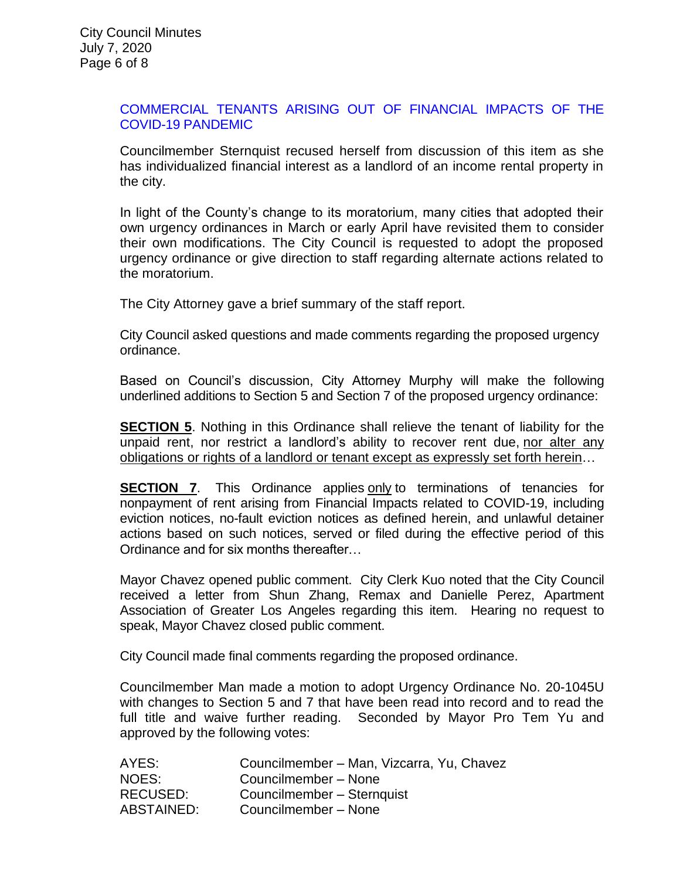### [COMMERCIAL TENANTS ARISING OUT OF FINANCIAL IMPACTS OF THE](https://ca-templecity.civicplus.com/DocumentCenter/View/14723/10C-Eviction-Moratorium-July-staff-report)  [COVID-19 PANDEMIC](https://ca-templecity.civicplus.com/DocumentCenter/View/14723/10C-Eviction-Moratorium-July-staff-report)

Councilmember Sternquist recused herself from discussion of this item as she has individualized financial interest as a landlord of an income rental property in the city.

In light of the County's change to its moratorium, many cities that adopted their own urgency ordinances in March or early April have revisited them to consider their own modifications. The City Council is requested to adopt the proposed urgency ordinance or give direction to staff regarding alternate actions related to the moratorium.

The City Attorney gave a brief summary of the staff report.

City Council asked questions and made comments regarding the proposed urgency ordinance.

Based on Council's discussion, City Attorney Murphy will make the following underlined additions to Section 5 and Section 7 of the proposed urgency ordinance:

**SECTION 5.** Nothing in this Ordinance shall relieve the tenant of liability for the unpaid rent, nor restrict a landlord's ability to recover rent due, nor alter any obligations or rights of a landlord or tenant except as expressly set forth herein…

**SECTION 7.** This Ordinance applies only to terminations of tenancies for nonpayment of rent arising from Financial Impacts related to COVID-19, including eviction notices, no-fault eviction notices as defined herein, and unlawful detainer actions based on such notices, served or filed during the effective period of this Ordinance and for six months thereafter…

Mayor Chavez opened public comment. City Clerk Kuo noted that the City Council received a letter from Shun Zhang, Remax and Danielle Perez, Apartment Association of Greater Los Angeles regarding this item. Hearing no request to speak, Mayor Chavez closed public comment.

City Council made final comments regarding the proposed ordinance.

Councilmember Man made a motion to adopt Urgency Ordinance No. 20-1045U with changes to Section 5 and 7 that have been read into record and to read the full title and waive further reading. Seconded by Mayor Pro Tem Yu and approved by the following votes:

| AYES:           | Councilmember - Man, Vizcarra, Yu, Chavez |
|-----------------|-------------------------------------------|
| NOES:           | Councilmember - None                      |
| <b>RECUSED:</b> | Councilmember - Sternquist                |
| ABSTAINED:      | Councilmember - None                      |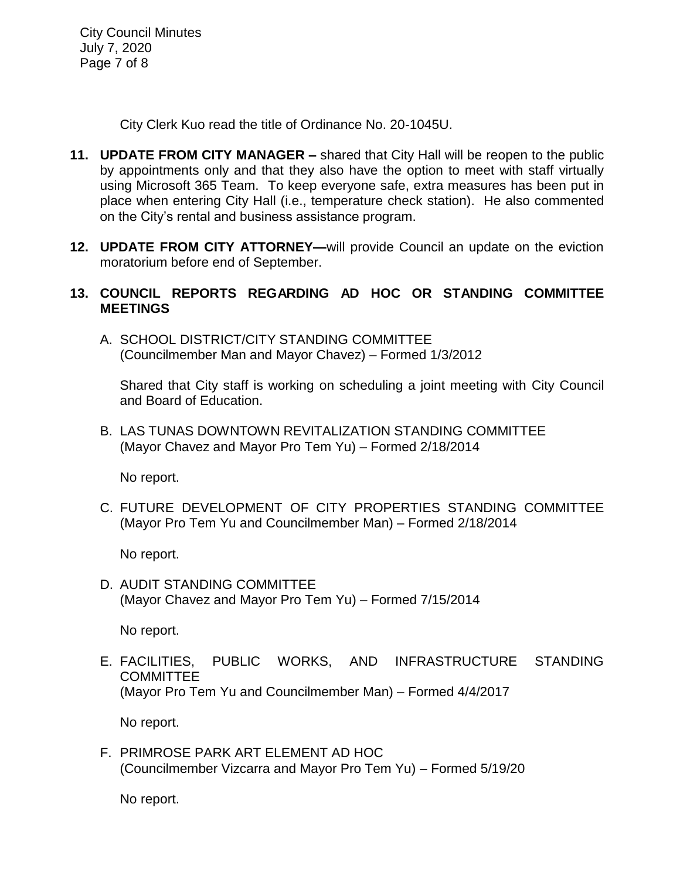City Council Minutes July 7, 2020 Page 7 of 8

City Clerk Kuo read the title of Ordinance No. 20-1045U.

- **11. UPDATE FROM CITY MANAGER –** shared that City Hall will be reopen to the public by appointments only and that they also have the option to meet with staff virtually using Microsoft 365 Team. To keep everyone safe, extra measures has been put in place when entering City Hall (i.e., temperature check station). He also commented on the City's rental and business assistance program.
- **12. UPDATE FROM CITY ATTORNEY—**will provide Council an update on the eviction moratorium before end of September.

# **13. COUNCIL REPORTS REGARDING AD HOC OR STANDING COMMITTEE MEETINGS**

A. SCHOOL DISTRICT/CITY STANDING COMMITTEE (Councilmember Man and Mayor Chavez) – Formed 1/3/2012

Shared that City staff is working on scheduling a joint meeting with City Council and Board of Education.

B. LAS TUNAS DOWNTOWN REVITALIZATION STANDING COMMITTEE (Mayor Chavez and Mayor Pro Tem Yu) – Formed 2/18/2014

No report.

C. FUTURE DEVELOPMENT OF CITY PROPERTIES STANDING COMMITTEE (Mayor Pro Tem Yu and Councilmember Man) – Formed 2/18/2014

No report.

D. AUDIT STANDING COMMITTEE (Mayor Chavez and Mayor Pro Tem Yu) – Formed 7/15/2014

No report.

E. FACILITIES, PUBLIC WORKS, AND INFRASTRUCTURE STANDING **COMMITTEE** (Mayor Pro Tem Yu and Councilmember Man) – Formed 4/4/2017

No report.

F. PRIMROSE PARK ART ELEMENT AD HOC (Councilmember Vizcarra and Mayor Pro Tem Yu) – Formed 5/19/20

No report.